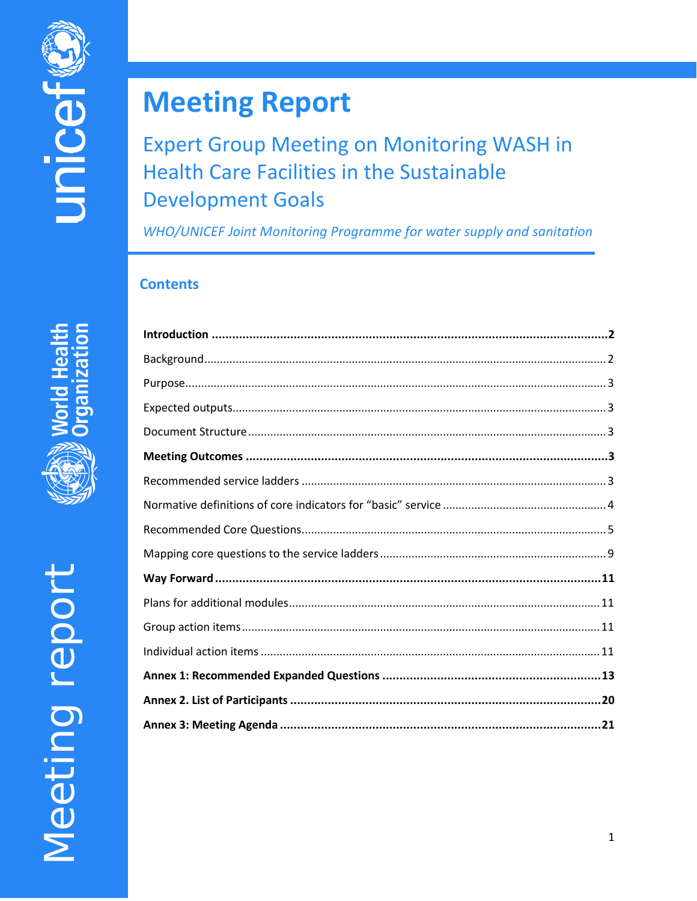# **Meeting Report**

# **Expert Group Meeting on Monitoring WASH in Health Care Facilities in the Sustainable Development Goals**

WHO/UNICEF Joint Monitoring Programme for water supply and sanitation

# **Contents**

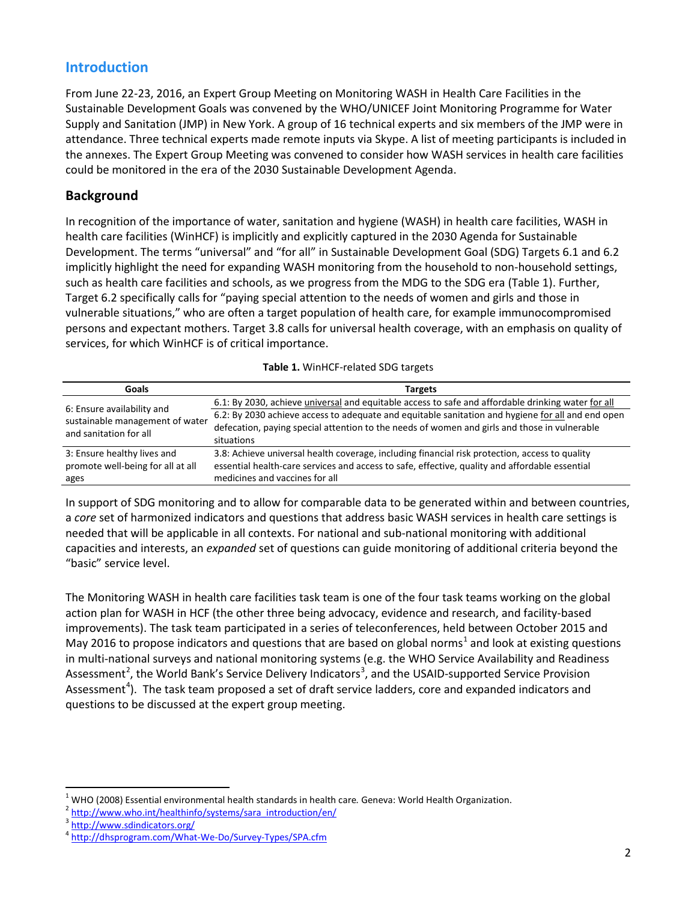# **Introduction**

From June 22-23, 2016, an Expert Group Meeting on Monitoring WASH in Health Care Facilities in the Sustainable Development Goals was convened by the WHO/UNICEF Joint Monitoring Programme for Water Supply and Sanitation (JMP) in New York. A group of 16 technical experts and six members of the JMP were in attendance. Three technical experts made remote inputs via Skype. A list of meeting participants is included in the annexes. The Expert Group Meeting was convened to consider how WASH services in health care facilities could be monitored in the era of the 2030 Sustainable Development Agenda.

# **Background**

In recognition of the importance of water, sanitation and hygiene (WASH) in health care facilities, WASH in health care facilities (WinHCF) is implicitly and explicitly captured in the 2030 Agenda for Sustainable Development. The terms "universal" and "for all" in Sustainable Development Goal (SDG) Targets 6.1 and 6.2 implicitly highlight the need for expanding WASH monitoring from the household to non-household settings, such as health care facilities and schools, as we progress from the MDG to the SDG era (Table 1). Further, Target 6.2 specifically calls for "paying special attention to the needs of women and girls and those in vulnerable situations," who are often a target population of health care, for example immunocompromised persons and expectant mothers. Target 3.8 calls for universal health coverage, with an emphasis on quality of services, for which WinHCF is of critical importance.

| Goals                                                                    | <b>Targets</b>                                                                                                                                                                                                                     |
|--------------------------------------------------------------------------|------------------------------------------------------------------------------------------------------------------------------------------------------------------------------------------------------------------------------------|
| 6: Ensure availability and                                               | 6.1: By 2030, achieve <i>universal</i> and equitable access to safe and affordable drinking water for all                                                                                                                          |
| sustainable management of water<br>and sanitation for all                | 6.2: By 2030 achieve access to adequate and equitable sanitation and hygiene for all and end open<br>defecation, paying special attention to the needs of women and girls and those in vulnerable<br>situations                    |
| 3: Ensure healthy lives and<br>promote well-being for all at all<br>ages | 3.8: Achieve universal health coverage, including financial risk protection, access to quality<br>essential health-care services and access to safe, effective, quality and affordable essential<br>medicines and vaccines for all |

<span id="page-1-4"></span>

In support of SDG monitoring and to allow for comparable data to be generated within and between countries, a *core* set of harmonized indicators and questions that address basic WASH services in health care settings is needed that will be applicable in all contexts. For national and sub-national monitoring with additional capacities and interests, an *expanded* set of questions can guide monitoring of additional criteria beyond the "basic" service level.

The Monitoring WASH in health care facilities task team is one of the four task teams working on the global action plan for WASH in HCF (the other three being advocacy, evidence and research, and facility-based improvements). The task team participated in a series of teleconferences, held between October 2015 and May 20[1](#page-1-0)6 to propose indicators and questions that are based on global norms<sup>1</sup> and look at existing questions in multi-national surveys and national monitoring systems (e.g. the WHO Service Availability and Readiness Assessment<sup>[2](#page-1-1)</sup>, the World Bank's Service Delivery Indicators<sup>[3](#page-1-2)</sup>, and the USAID-supported Service Provision Assessment<sup>[4](#page-1-3)</sup>). The task team proposed a set of draft service ladders, core and expanded indicators and questions to be discussed at the expert group meeting.

<span id="page-1-0"></span><sup>&</sup>lt;sup>1</sup> WHO (2008) Essential environmental health standards in health care. Geneva: World Health Organization.<br><sup>2</sup> http://<u>www.who.int/healthinfo/systems/sara\_introduction/en/</u>

<span id="page-1-1"></span>

<span id="page-1-3"></span><span id="page-1-2"></span><sup>3</sup> <http://www.sdindicators.org/>

<sup>4</sup> http://dhsprogram.com/What-We-Do/Survey-Types/SPA.cfm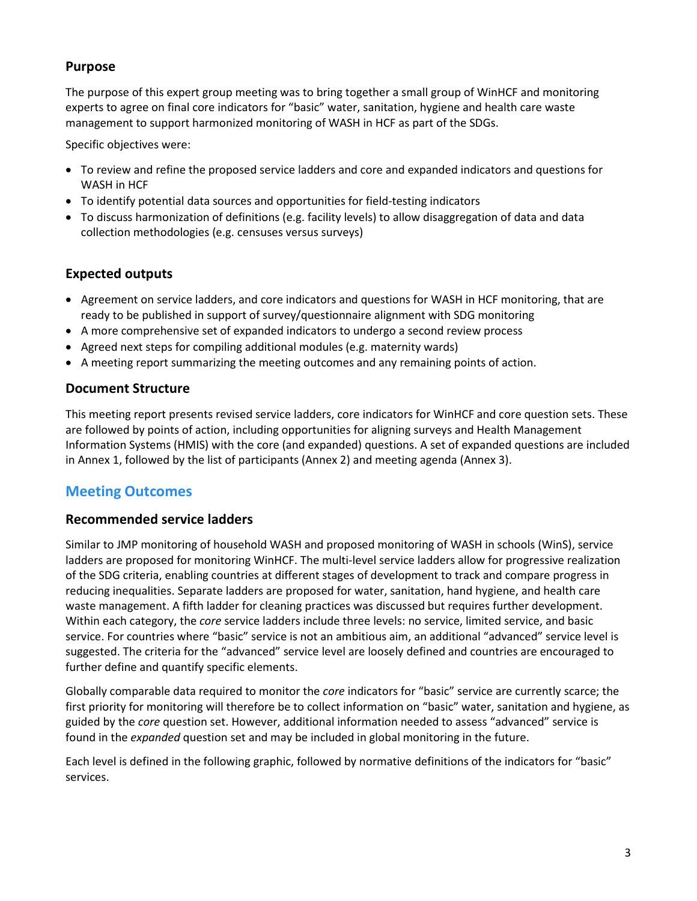# **Purpose**

The purpose of this expert group meeting was to bring together a small group of WinHCF and monitoring experts to agree on final core indicators for "basic" water, sanitation, hygiene and health care waste management to support harmonized monitoring of WASH in HCF as part of the SDGs.

Specific objectives were:

- To review and refine the proposed service ladders and core and expanded indicators and questions for WASH in HCF
- To identify potential data sources and opportunities for field-testing indicators
- To discuss harmonization of definitions (e.g. facility levels) to allow disaggregation of data and data collection methodologies (e.g. censuses versus surveys)

# **Expected outputs**

- Agreement on service ladders, and core indicators and questions for WASH in HCF monitoring, that are ready to be published in support of survey/questionnaire alignment with SDG monitoring
- A more comprehensive set of expanded indicators to undergo a second review process
- Agreed next steps for compiling additional modules (e.g. maternity wards)
- A meeting report summarizing the meeting outcomes and any remaining points of action.

# **Document Structure**

This meeting report presents revised service ladders, core indicators for WinHCF and core question sets. These are followed by points of action, including opportunities for aligning surveys and Health Management Information Systems (HMIS) with the core (and expanded) questions. A set of expanded questions are included in Annex 1, followed by the list of participants (Annex 2) and meeting agenda (Annex 3).

# **Meeting Outcomes**

# **Recommended service ladders**

Similar to JMP monitoring of household WASH and proposed monitoring of WASH in schools (WinS), service ladders are proposed for monitoring WinHCF. The multi-level service ladders allow for progressive realization of the SDG criteria, enabling countries at different stages of development to track and compare progress in reducing inequalities. Separate ladders are proposed for water, sanitation, hand hygiene, and health care waste management. A fifth ladder for cleaning practices was discussed but requires further development. Within each category, the *core* service ladders include three levels: no service, limited service, and basic service. For countries where "basic" service is not an ambitious aim, an additional "advanced" service level is suggested. The criteria for the "advanced" service level are loosely defined and countries are encouraged to further define and quantify specific elements.

Globally comparable data required to monitor the *core* indicators for "basic" service are currently scarce; the first priority for monitoring will therefore be to collect information on "basic" water, sanitation and hygiene, as guided by the *core* question set. However, additional information needed to assess "advanced" service is found in the *expanded* question set and may be included in global monitoring in the future.

Each level is defined in the following graphic, followed by normative definitions of the indicators for "basic" services.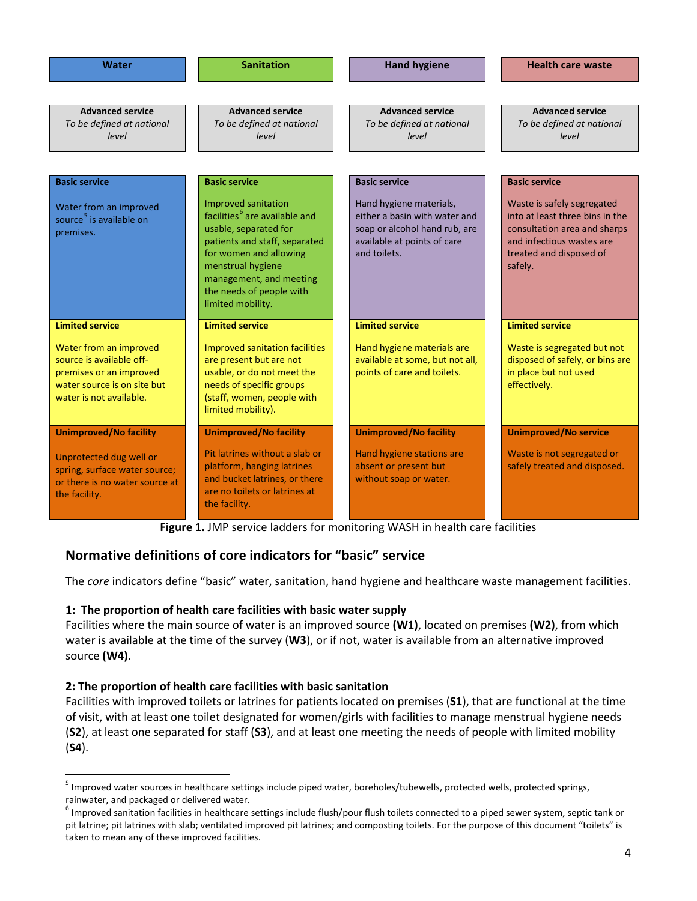| <b>Water</b>                                                                                                                            | <b>Sanitation</b>                                                                                                                                                                                                                                     | <b>Hand hygiene</b>                                                                                                                      | <b>Health care waste</b>                                                                                                                                         |
|-----------------------------------------------------------------------------------------------------------------------------------------|-------------------------------------------------------------------------------------------------------------------------------------------------------------------------------------------------------------------------------------------------------|------------------------------------------------------------------------------------------------------------------------------------------|------------------------------------------------------------------------------------------------------------------------------------------------------------------|
| <b>Advanced service</b><br>To be defined at national<br>level                                                                           | <b>Advanced service</b><br>To be defined at national<br>level                                                                                                                                                                                         | <b>Advanced service</b><br>To be defined at national<br>level                                                                            | <b>Advanced service</b><br>To be defined at national<br>level                                                                                                    |
| <b>Basic service</b>                                                                                                                    | <b>Basic service</b>                                                                                                                                                                                                                                  | <b>Basic service</b>                                                                                                                     | <b>Basic service</b>                                                                                                                                             |
| Water from an improved<br>source <sup>5</sup> is available on<br>premises.                                                              | Improved sanitation<br>facilities <sup>6</sup> are available and<br>usable, separated for<br>patients and staff, separated<br>for women and allowing<br>menstrual hygiene<br>management, and meeting<br>the needs of people with<br>limited mobility. | Hand hygiene materials,<br>either a basin with water and<br>soap or alcohol hand rub, are<br>available at points of care<br>and toilets. | Waste is safely segregated<br>into at least three bins in the<br>consultation area and sharps<br>and infectious wastes are<br>treated and disposed of<br>safely. |
| <b>Limited service</b>                                                                                                                  | <b>Limited service</b>                                                                                                                                                                                                                                | <b>Limited service</b>                                                                                                                   | <b>Limited service</b>                                                                                                                                           |
| Water from an improved<br>source is available off-<br>premises or an improved<br>water source is on site but<br>water is not available. | Improved sanitation facilities<br>are present but are not<br>usable, or do not meet the<br>needs of specific groups<br>(staff, women, people with<br>limited mobility).                                                                               | Hand hygiene materials are<br>available at some, but not all,<br>points of care and toilets.                                             | Waste is segregated but not<br>disposed of safely, or bins are<br>in place but not used<br>effectively.                                                          |
| <b>Unimproved/No facility</b>                                                                                                           | <b>Unimproved/No facility</b>                                                                                                                                                                                                                         | <b>Unimproved/No facility</b>                                                                                                            | <b>Unimproved/No service</b>                                                                                                                                     |
| Unprotected dug well or<br>spring, surface water source;<br>or there is no water source at<br>the facility.                             | Pit latrines without a slab or<br>platform, hanging latrines<br>and bucket latrines, or there<br>are no toilets or latrines at<br>the facility.                                                                                                       | Hand hygiene stations are<br>absent or present but<br>without soap or water.                                                             | Waste is not segregated or<br>safely treated and disposed.                                                                                                       |

**Figure 1.** JMP service ladders for monitoring WASH in health care facilities

# **Normative definitions of core indicators for "basic" service**

The *core* indicators define "basic" water, sanitation, hand hygiene and healthcare waste management facilities.

# **1: The proportion of health care facilities with basic water supply**

Facilities where the main source of water is an improved source **(W1)**, located on premises **(W2)**, from which water is available at the time of the survey (**W3**), or if not, water is available from an alternative improved source **(W4)**.

# **2: The proportion of health care facilities with basic sanitation**

Facilities with improved toilets or latrines for patients located on premises (**S1**), that are functional at the time of visit, with at least one toilet designated for women/girls with facilities to manage menstrual hygiene needs (**S2**), at least one separated for staff (**S3**), and at least one meeting the needs of people with limited mobility (**S4**).

<span id="page-3-0"></span> $<sup>5</sup>$  Improved water sources in healthcare settings include piped water, boreholes/tubewells, protected wells, protected springs, rainwater, and packaged or delivered water.</sup>

<span id="page-3-1"></span> $<sup>6</sup>$  Improved sanitation facilities in healthcare settings include flush/pour flush toilets connected to a piped sewer system, septic tank or</sup> pit latrine; pit latrines with slab; ventilated improved pit latrines; and composting toilets. For the purpose of this document "toilets" is taken to mean any of these improved facilities.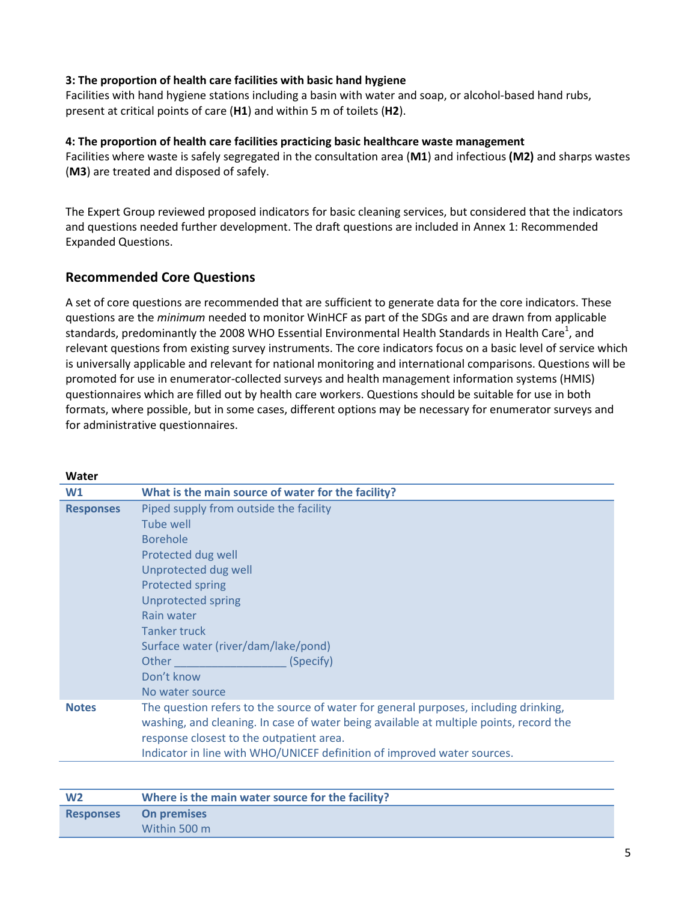#### **3: The proportion of health care facilities with basic hand hygiene**

Facilities with hand hygiene stations including a basin with water and soap, or alcohol-based hand rubs, present at critical points of care (**H1**) and within 5 m of toilets (**H2**).

#### **4: The proportion of health care facilities practicing basic healthcare waste management**

Facilities where waste is safely segregated in the consultation area (**M1**) and infectious **(M2)** and sharps wastes (**M3**) are treated and disposed of safely.

The Expert Group reviewed proposed indicators for basic cleaning services, but considered that the indicators and questions needed further development. The draft questions are included in Annex 1: Recommended Expanded Questions.

# **Recommended Core Questions**

A set of core questions are recommended that are sufficient to generate data for the core indicators. These questions are the *minimum* needed to monitor WinHCF as part of the SDGs and are drawn from applicable standards, pr[e](#page-1-4)dominantly the 2008 WHO Essential Environmental Health Standards in Health Care<sup>1</sup>, and relevant questions from existing survey instruments. The core indicators focus on a basic level of service which is universally applicable and relevant for national monitoring and international comparisons. Questions will be promoted for use in enumerator-collected surveys and health management information systems (HMIS) questionnaires which are filled out by health care workers. Questions should be suitable for use in both formats, where possible, but in some cases, different options may be necessary for enumerator surveys and for administrative questionnaires.

| W1               | What is the main source of water for the facility?                                                                                                                                                                         |
|------------------|----------------------------------------------------------------------------------------------------------------------------------------------------------------------------------------------------------------------------|
| <b>Responses</b> | Piped supply from outside the facility                                                                                                                                                                                     |
|                  | <b>Tube well</b>                                                                                                                                                                                                           |
|                  | <b>Borehole</b>                                                                                                                                                                                                            |
|                  | Protected dug well                                                                                                                                                                                                         |
|                  | Unprotected dug well                                                                                                                                                                                                       |
|                  | <b>Protected spring</b>                                                                                                                                                                                                    |
|                  | <b>Unprotected spring</b>                                                                                                                                                                                                  |
|                  | Rain water                                                                                                                                                                                                                 |
|                  | <b>Tanker truck</b>                                                                                                                                                                                                        |
|                  | Surface water (river/dam/lake/pond)                                                                                                                                                                                        |
|                  | Other<br>(Specify)                                                                                                                                                                                                         |
|                  | Don't know                                                                                                                                                                                                                 |
|                  | No water source                                                                                                                                                                                                            |
| <b>Notes</b>     | The question refers to the source of water for general purposes, including drinking,<br>washing, and cleaning. In case of water being available at multiple points, record the<br>response closest to the outpatient area. |
|                  | Indicator in line with WHO/UNICEF definition of improved water sources.                                                                                                                                                    |
|                  |                                                                                                                                                                                                                            |

| W <sub>2</sub>   | Where is the main water source for the facility? |
|------------------|--------------------------------------------------|
| <b>Responses</b> | <b>On premises</b>                               |
|                  | Within 500 m                                     |

#### **Water**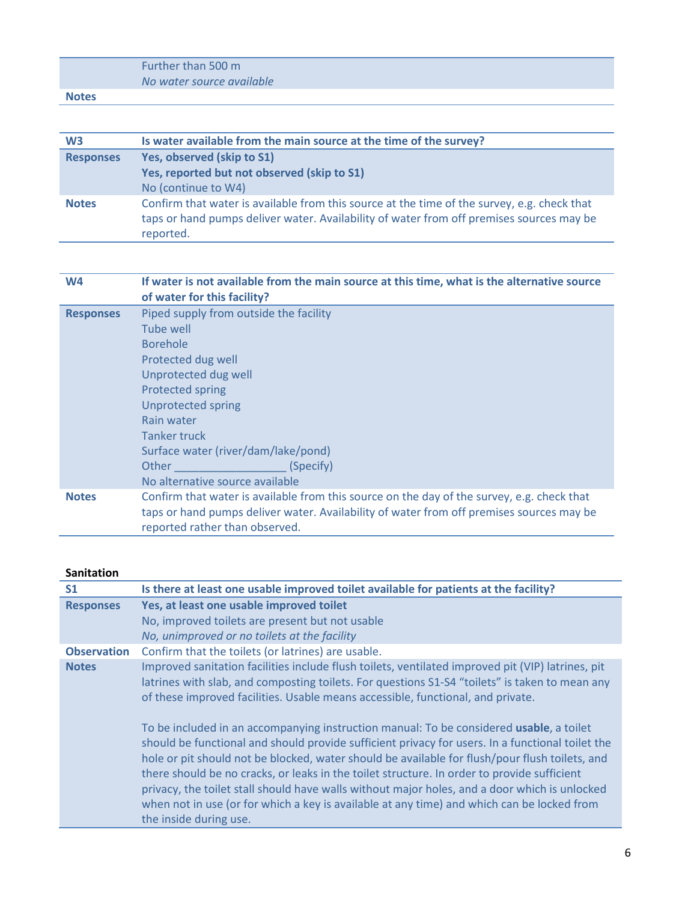|              | Further than 500 m        |
|--------------|---------------------------|
|              | No water source available |
| <b>Notes</b> |                           |

| W <sub>3</sub>   | Is water available from the main source at the time of the survey?                                                                                                                                   |
|------------------|------------------------------------------------------------------------------------------------------------------------------------------------------------------------------------------------------|
| <b>Responses</b> | Yes, observed (skip to S1)                                                                                                                                                                           |
|                  | Yes, reported but not observed (skip to S1)                                                                                                                                                          |
|                  | No (continue to W4)                                                                                                                                                                                  |
| <b>Notes</b>     | Confirm that water is available from this source at the time of the survey, e.g. check that<br>taps or hand pumps deliver water. Availability of water from off premises sources may be<br>reported. |

| W <sub>4</sub>   | If water is not available from the main source at this time, what is the alternative source<br>of water for this facility?                                                                                               |
|------------------|--------------------------------------------------------------------------------------------------------------------------------------------------------------------------------------------------------------------------|
| <b>Responses</b> | Piped supply from outside the facility<br>Tube well                                                                                                                                                                      |
|                  | <b>Borehole</b>                                                                                                                                                                                                          |
|                  | Protected dug well                                                                                                                                                                                                       |
|                  | Unprotected dug well                                                                                                                                                                                                     |
|                  | <b>Protected spring</b>                                                                                                                                                                                                  |
|                  | <b>Unprotected spring</b>                                                                                                                                                                                                |
|                  | Rain water                                                                                                                                                                                                               |
|                  | <b>Tanker truck</b>                                                                                                                                                                                                      |
|                  | Surface water (river/dam/lake/pond)                                                                                                                                                                                      |
|                  | Other<br>(Specify)                                                                                                                                                                                                       |
|                  | No alternative source available                                                                                                                                                                                          |
| <b>Notes</b>     | Confirm that water is available from this source on the day of the survey, e.g. check that<br>taps or hand pumps deliver water. Availability of water from off premises sources may be<br>reported rather than observed. |

#### **Sanitation**

| S <sub>1</sub>     | Is there at least one usable improved toilet available for patients at the facility?                                                                                                                                                                                                                                                                                                                                                                                                                                                                                                                                  |
|--------------------|-----------------------------------------------------------------------------------------------------------------------------------------------------------------------------------------------------------------------------------------------------------------------------------------------------------------------------------------------------------------------------------------------------------------------------------------------------------------------------------------------------------------------------------------------------------------------------------------------------------------------|
| <b>Responses</b>   | Yes, at least one usable improved toilet                                                                                                                                                                                                                                                                                                                                                                                                                                                                                                                                                                              |
|                    | No, improved toilets are present but not usable                                                                                                                                                                                                                                                                                                                                                                                                                                                                                                                                                                       |
|                    | No, unimproved or no toilets at the facility                                                                                                                                                                                                                                                                                                                                                                                                                                                                                                                                                                          |
| <b>Observation</b> | Confirm that the toilets (or latrines) are usable.                                                                                                                                                                                                                                                                                                                                                                                                                                                                                                                                                                    |
| <b>Notes</b>       | Improved sanitation facilities include flush toilets, ventilated improved pit (VIP) latrines, pit<br>latrines with slab, and composting toilets. For questions S1-S4 "toilets" is taken to mean any<br>of these improved facilities. Usable means accessible, functional, and private.                                                                                                                                                                                                                                                                                                                                |
|                    | To be included in an accompanying instruction manual: To be considered usable, a toilet<br>should be functional and should provide sufficient privacy for users. In a functional toilet the<br>hole or pit should not be blocked, water should be available for flush/pour flush toilets, and<br>there should be no cracks, or leaks in the toilet structure. In order to provide sufficient<br>privacy, the toilet stall should have walls without major holes, and a door which is unlocked<br>when not in use (or for which a key is available at any time) and which can be locked from<br>the inside during use. |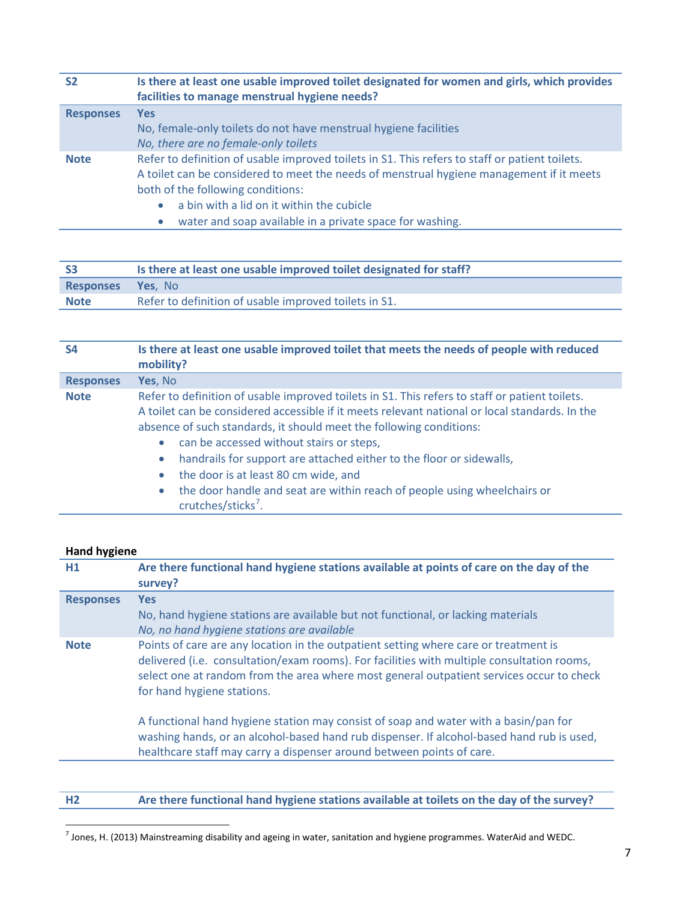| <b>S2</b>        | Is there at least one usable improved toilet designated for women and girls, which provides<br>facilities to manage menstrual hygiene needs?                                                                                                                                                                                                          |
|------------------|-------------------------------------------------------------------------------------------------------------------------------------------------------------------------------------------------------------------------------------------------------------------------------------------------------------------------------------------------------|
| <b>Responses</b> | <b>Yes</b><br>No, female-only toilets do not have menstrual hygiene facilities<br>No, there are no female-only toilets                                                                                                                                                                                                                                |
| <b>Note</b>      | Refer to definition of usable improved toilets in S1. This refers to staff or patient toilets.<br>A toilet can be considered to meet the needs of menstrual hygiene management if it meets<br>both of the following conditions:<br>a bin with a lid on it within the cubicle<br>$\bullet$<br>water and soap available in a private space for washing. |

| <b>S3</b>                | Is there at least one usable improved toilet designated for staff? |
|--------------------------|--------------------------------------------------------------------|
| <b>Responses Yes, No</b> |                                                                    |
| <b>Note</b>              | Refer to definition of usable improved toilets in S1.              |

| <b>S4</b>        | Is there at least one usable improved toilet that meets the needs of people with reduced<br>mobility?                                                                                                                                                                                                                                                                                                                                                                                                                                                                                 |
|------------------|---------------------------------------------------------------------------------------------------------------------------------------------------------------------------------------------------------------------------------------------------------------------------------------------------------------------------------------------------------------------------------------------------------------------------------------------------------------------------------------------------------------------------------------------------------------------------------------|
| <b>Responses</b> | Yes, No                                                                                                                                                                                                                                                                                                                                                                                                                                                                                                                                                                               |
| <b>Note</b>      | Refer to definition of usable improved toilets in S1. This refers to staff or patient toilets.<br>A toilet can be considered accessible if it meets relevant national or local standards. In the<br>absence of such standards, it should meet the following conditions:<br>can be accessed without stairs or steps,<br>۰<br>handrails for support are attached either to the floor or sidewalls,<br>$\bullet$<br>the door is at least 80 cm wide, and<br>۰<br>the door handle and seat are within reach of people using wheelchairs or<br>$\bullet$<br>crutches/sticks <sup>7</sup> . |

#### **Hand hygiene**

| H1               | Are there functional hand hygiene stations available at points of care on the day of the<br>survey?                                                                                                                                                                                                          |
|------------------|--------------------------------------------------------------------------------------------------------------------------------------------------------------------------------------------------------------------------------------------------------------------------------------------------------------|
| <b>Responses</b> | <b>Yes</b><br>No, hand hygiene stations are available but not functional, or lacking materials<br>No, no hand hygiene stations are available                                                                                                                                                                 |
| <b>Note</b>      | Points of care are any location in the outpatient setting where care or treatment is<br>delivered (i.e. consultation/exam rooms). For facilities with multiple consultation rooms,<br>select one at random from the area where most general outpatient services occur to check<br>for hand hygiene stations. |
|                  | A functional hand hygiene station may consist of soap and water with a basin/pan for<br>washing hands, or an alcohol-based hand rub dispenser. If alcohol-based hand rub is used,<br>healthcare staff may carry a dispenser around between points of care.                                                   |
|                  |                                                                                                                                                                                                                                                                                                              |

**H2 Are there functional hand hygiene stations available at toilets on the day of the survey?**

<span id="page-6-0"></span> $^7$  Jones, H. (2013) Mainstreaming disability and ageing in water, sanitation and hygiene programmes. WaterAid and WEDC.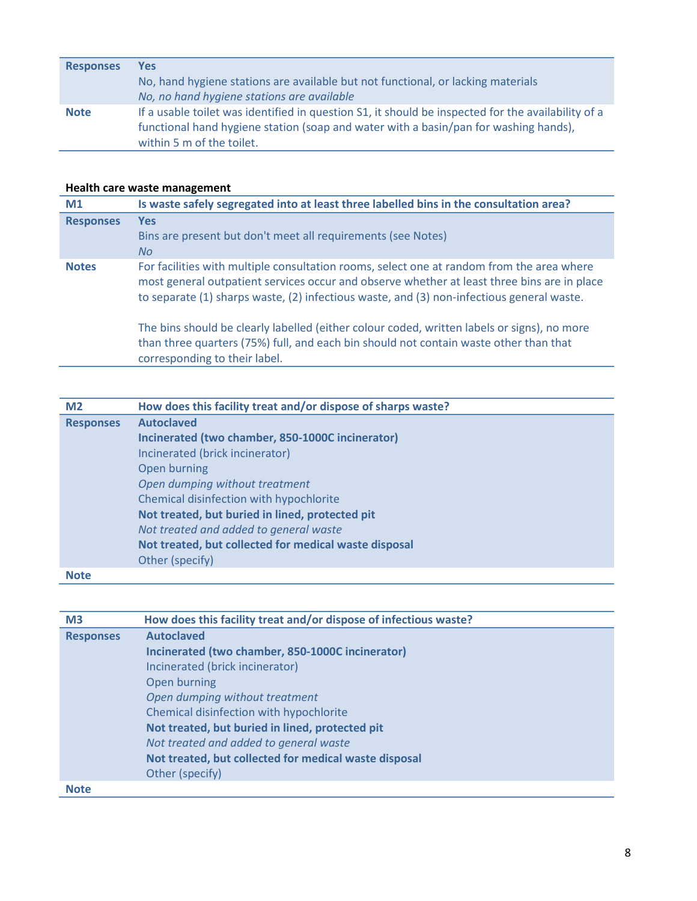| <b>Responses</b> | <b>Yes</b>                                                                                         |
|------------------|----------------------------------------------------------------------------------------------------|
|                  | No, hand hygiene stations are available but not functional, or lacking materials                   |
|                  | No, no hand hygiene stations are available                                                         |
| <b>Note</b>      | If a usable toilet was identified in question S1, it should be inspected for the availability of a |
|                  | functional hand hygiene station (soap and water with a basin/pan for washing hands),               |
|                  | within 5 m of the toilet.                                                                          |

### **Health care waste management**

corresponding to their label.

| M1               | Is waste safely segregated into at least three labelled bins in the consultation area?                                                                                                                                                                                                |
|------------------|---------------------------------------------------------------------------------------------------------------------------------------------------------------------------------------------------------------------------------------------------------------------------------------|
| <b>Responses</b> | <b>Yes</b>                                                                                                                                                                                                                                                                            |
|                  | Bins are present but don't meet all requirements (see Notes)                                                                                                                                                                                                                          |
|                  | No.                                                                                                                                                                                                                                                                                   |
| <b>Notes</b>     | For facilities with multiple consultation rooms, select one at random from the area where<br>most general outpatient services occur and observe whether at least three bins are in place<br>to separate (1) sharps waste, (2) infectious waste, and (3) non-infectious general waste. |
|                  | The bins should be clearly labelled (either colour coded, written labels or signs), no more<br>than three quarters (75%) full, and each bin should not contain waste other than that                                                                                                  |

| M <sub>2</sub>   | How does this facility treat and/or dispose of sharps waste? |
|------------------|--------------------------------------------------------------|
| <b>Responses</b> | <b>Autoclaved</b>                                            |
|                  | Incinerated (two chamber, 850-1000C incinerator)             |
|                  | Incinerated (brick incinerator)                              |
|                  | Open burning                                                 |
|                  | Open dumping without treatment                               |
|                  | Chemical disinfection with hypochlorite                      |
|                  | Not treated, but buried in lined, protected pit              |
|                  | Not treated and added to general waste                       |
|                  | Not treated, but collected for medical waste disposal        |
|                  | Other (specify)                                              |
| <b>Note</b>      |                                                              |

| M <sub>3</sub>   | How does this facility treat and/or dispose of infectious waste? |
|------------------|------------------------------------------------------------------|
| <b>Responses</b> | <b>Autoclaved</b>                                                |
|                  | Incinerated (two chamber, 850-1000C incinerator)                 |
|                  | Incinerated (brick incinerator)                                  |
|                  | Open burning                                                     |
|                  | Open dumping without treatment                                   |
|                  | Chemical disinfection with hypochlorite                          |
|                  | Not treated, but buried in lined, protected pit                  |
|                  | Not treated and added to general waste                           |
|                  | Not treated, but collected for medical waste disposal            |
|                  | Other (specify)                                                  |
| <b>Note</b>      |                                                                  |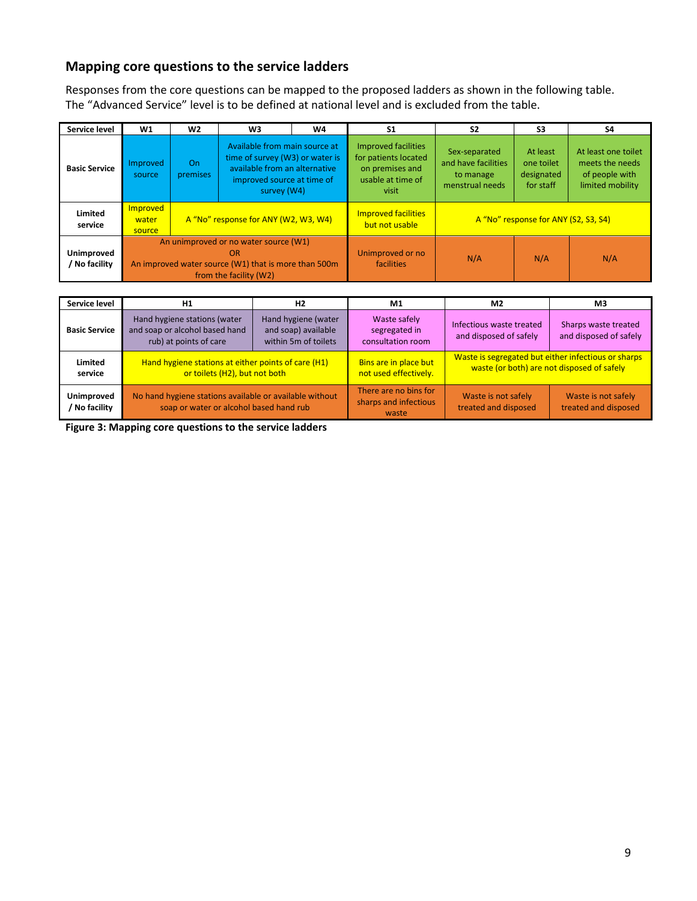# **Mapping core questions to the service ladders**

Responses from the core questions can be mapped to the proposed ladders as shown in the following table. The "Advanced Service" level is to be defined at national level and is excluded from the table.

| Service level                      | W1                                                                                                                            | W <sub>2</sub>                       | W <sub>3</sub>                                                                                                                                 | W4                                           | S <sub>1</sub>                                                                                      | S <sub>2</sub>                                                       | S3                                                | S4                                                                           |
|------------------------------------|-------------------------------------------------------------------------------------------------------------------------------|--------------------------------------|------------------------------------------------------------------------------------------------------------------------------------------------|----------------------------------------------|-----------------------------------------------------------------------------------------------------|----------------------------------------------------------------------|---------------------------------------------------|------------------------------------------------------------------------------|
| <b>Basic Service</b>               | Improved<br>source                                                                                                            | On<br>premises                       | Available from main source at<br>time of survey (W3) or water is<br>available from an alternative<br>improved source at time of<br>survey (W4) |                                              | <b>Improved facilities</b><br>for patients located<br>on premises and<br>usable at time of<br>visit | Sex-separated<br>and have facilities<br>to manage<br>menstrual needs | At least<br>one toilet<br>designated<br>for staff | At least one toilet<br>meets the needs<br>of people with<br>limited mobility |
| Limited<br>service                 | Improved<br>water<br>source                                                                                                   | A "No" response for ANY (W2, W3, W4) |                                                                                                                                                | <b>Improved facilities</b><br>but not usable | A "No" response for ANY (S2, S3, S4)                                                                |                                                                      |                                                   |                                                                              |
| <b>Unimproved</b><br>/ No facility | An unimproved or no water source (W1)<br>OR<br>An improved water source (W1) that is more than 500m<br>from the facility (W2) |                                      | Unimproved or no<br>facilities                                                                                                                 | N/A                                          | N/A                                                                                                 | N/A                                                                  |                                                   |                                                                              |

| Service level               | H <sub>2</sub><br>H <sub>1</sub>                                                                   |                                                                    | M <sub>1</sub>                                          | M2                                                                                                | M <sub>3</sub>                                 |  |
|-----------------------------|----------------------------------------------------------------------------------------------------|--------------------------------------------------------------------|---------------------------------------------------------|---------------------------------------------------------------------------------------------------|------------------------------------------------|--|
| <b>Basic Service</b>        | Hand hygiene stations (water<br>and soap or alcohol based hand<br>rub) at points of care           | Hand hygiene (water<br>and soap) available<br>within 5m of toilets | Waste safely<br>segregated in<br>consultation room      | Infectious waste treated<br>and disposed of safely                                                | Sharps waste treated<br>and disposed of safely |  |
| Limited<br>service          | Hand hygiene stations at either points of care (H1)<br>or toilets (H2), but not both               |                                                                    | Bins are in place but<br>not used effectively.          | Waste is segregated but either infectious or sharps<br>waste (or both) are not disposed of safely |                                                |  |
| Unimproved<br>/ No facility | No hand hygiene stations available or available without<br>soap or water or alcohol based hand rub |                                                                    | There are no bins for<br>sharps and infectious<br>waste | Waste is not safely<br>treated and disposed                                                       | Waste is not safely<br>treated and disposed    |  |

**Figure 3: Mapping core questions to the service ladders**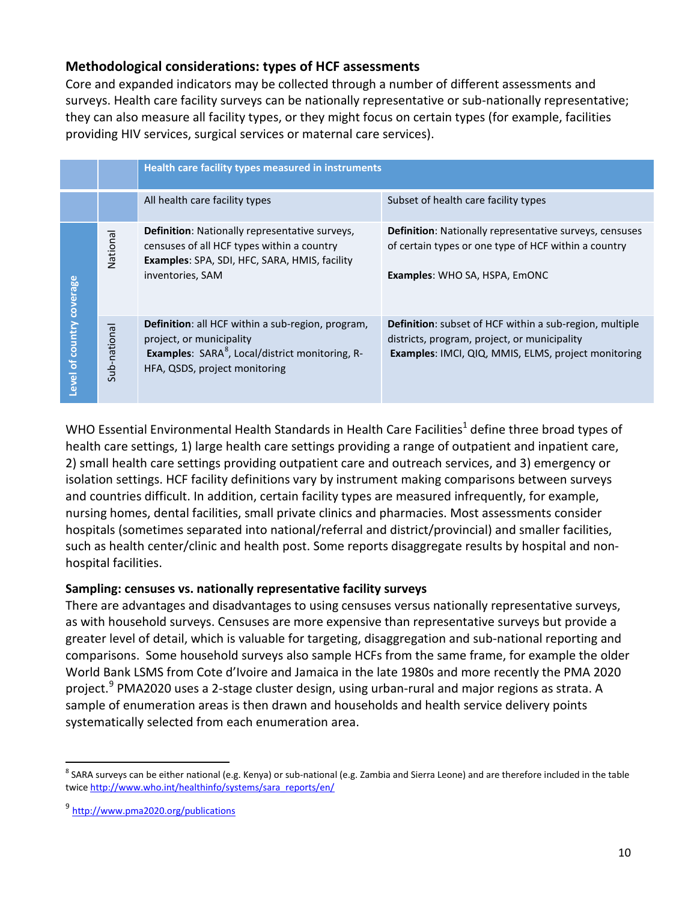# **Methodological considerations: types of HCF assessments**

Core and expanded indicators may be collected through a number of different assessments and surveys. Health care facility surveys can be nationally representative or sub-nationally representative; they can also measure all facility types, or they might focus on certain types (for example, facilities providing HIV services, surgical services or maternal care services).

|              |                     | Health care facility types measured in instruments                                                                                                                                          |                                                                                                                                                                              |
|--------------|---------------------|---------------------------------------------------------------------------------------------------------------------------------------------------------------------------------------------|------------------------------------------------------------------------------------------------------------------------------------------------------------------------------|
|              |                     | All health care facility types                                                                                                                                                              | Subset of health care facility types                                                                                                                                         |
| coverage     | National            | <b>Definition:</b> Nationally representative surveys,<br>censuses of all HCF types within a country<br>Examples: SPA, SDI, HFC, SARA, HMIS, facility<br>inventories, SAM                    | <b>Definition:</b> Nationally representative surveys, censuses<br>of certain types or one type of HCF within a country<br><b>Examples: WHO SA, HSPA, EMONC</b>               |
| evel of coun | national<br>$-9.15$ | <b>Definition:</b> all HCF within a sub-region, program,<br>project, or municipality<br><b>Examples:</b> SARA <sup>8</sup> , Local/district monitoring, R-<br>HFA, QSDS, project monitoring | <b>Definition:</b> subset of HCF within a sub-region, multiple<br>districts, program, project, or municipality<br><b>Examples: IMCI, QIQ, MMIS, ELMS, project monitoring</b> |

WHO Essential Environmental Health Standards in Health Care Facilities<sup>1</sup> define three broad types of health care settings, 1) large health care settings providing a range of outpatient and inpatient care, 2) small health care settings providing outpatient care and outreach services, and 3) emergency or isolation settings. HCF facility definitions vary by instrument making comparisons between surveys and countries difficult. In addition, certain facility types are measured infrequently, for example, nursing homes, dental facilities, small private clinics and pharmacies. Most assessments consider hospitals (sometimes separated into national/referral and district/provincial) and smaller facilities, such as health center/clinic and health post. Some reports disaggregate results by hospital and nonhospital facilities.

# **Sampling: censuses vs. nationally representative facility surveys**

There are advantages and disadvantages to using censuses versus nationally representative surveys, as with household surveys. Censuses are more expensive than representative surveys but provide a greater level of detail, which is valuable for targeting, disaggregation and sub-national reporting and comparisons. Some household surveys also sample HCFs from the same frame, for example the older World Bank LSMS from Cote d'Ivoire and Jamaica in the late 1980s and more recently the PMA 2020 project.<sup>[9](#page-9-1)</sup> PMA2020 uses a 2-stage cluster design, using urban-rural and major regions as strata. A sample of enumeration areas is then drawn and households and health service delivery points systematically selected from each enumeration area.

<span id="page-9-0"></span><sup>&</sup>lt;sup>8</sup> SARA surveys can be either national (e.g. Kenya) or sub-national (e.g. Zambia and Sierra Leone) and are therefore included in the table twic[e http://www.who.int/healthinfo/systems/sara\\_reports/en/](http://www.who.int/healthinfo/systems/sara_reports/en/)

<span id="page-9-1"></span><sup>&</sup>lt;sup>9</sup> <http://www.pma2020.org/publications>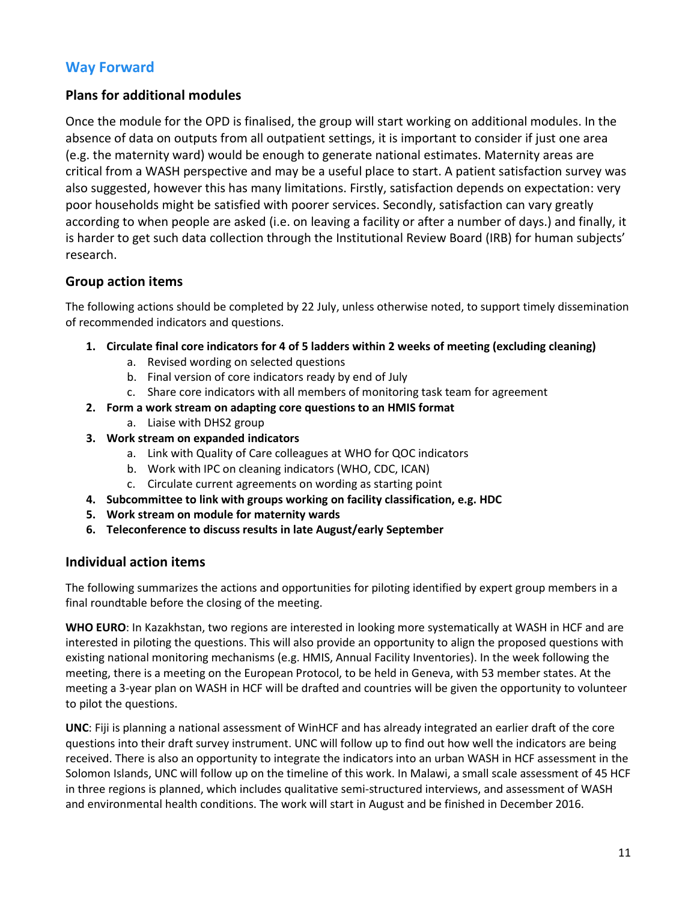# **Way Forward**

# **Plans for additional modules**

Once the module for the OPD is finalised, the group will start working on additional modules. In the absence of data on outputs from all outpatient settings, it is important to consider if just one area (e.g. the maternity ward) would be enough to generate national estimates. Maternity areas are critical from a WASH perspective and may be a useful place to start. A patient satisfaction survey was also suggested, however this has many limitations. Firstly, satisfaction depends on expectation: very poor households might be satisfied with poorer services. Secondly, satisfaction can vary greatly according to when people are asked (i.e. on leaving a facility or after a number of days.) and finally, it is harder to get such data collection through the Institutional Review Board (IRB) for human subjects' research.

# **Group action items**

The following actions should be completed by 22 July, unless otherwise noted, to support timely dissemination of recommended indicators and questions.

- **1. Circulate final core indicators for 4 of 5 ladders within 2 weeks of meeting (excluding cleaning)**
	- a. Revised wording on selected questions
	- b. Final version of core indicators ready by end of July
	- c. Share core indicators with all members of monitoring task team for agreement
- **2. Form a work stream on adapting core questions to an HMIS format**
	- a. Liaise with DHS2 group
- **3. Work stream on expanded indicators** 
	- a. Link with Quality of Care colleagues at WHO for QOC indicators
	- b. Work with IPC on cleaning indicators (WHO, CDC, ICAN)
	- c. Circulate current agreements on wording as starting point
- **4. Subcommittee to link with groups working on facility classification, e.g. HDC**
- **5. Work stream on module for maternity wards**
- **6. Teleconference to discuss results in late August/early September**

# **Individual action items**

The following summarizes the actions and opportunities for piloting identified by expert group members in a final roundtable before the closing of the meeting.

**WHO EURO**: In Kazakhstan, two regions are interested in looking more systematically at WASH in HCF and are interested in piloting the questions. This will also provide an opportunity to align the proposed questions with existing national monitoring mechanisms (e.g. HMIS, Annual Facility Inventories). In the week following the meeting, there is a meeting on the European Protocol, to be held in Geneva, with 53 member states. At the meeting a 3-year plan on WASH in HCF will be drafted and countries will be given the opportunity to volunteer to pilot the questions.

**UNC**: Fiji is planning a national assessment of WinHCF and has already integrated an earlier draft of the core questions into their draft survey instrument. UNC will follow up to find out how well the indicators are being received. There is also an opportunity to integrate the indicators into an urban WASH in HCF assessment in the Solomon Islands, UNC will follow up on the timeline of this work. In Malawi, a small scale assessment of 45 HCF in three regions is planned, which includes qualitative semi-structured interviews, and assessment of WASH and environmental health conditions. The work will start in August and be finished in December 2016.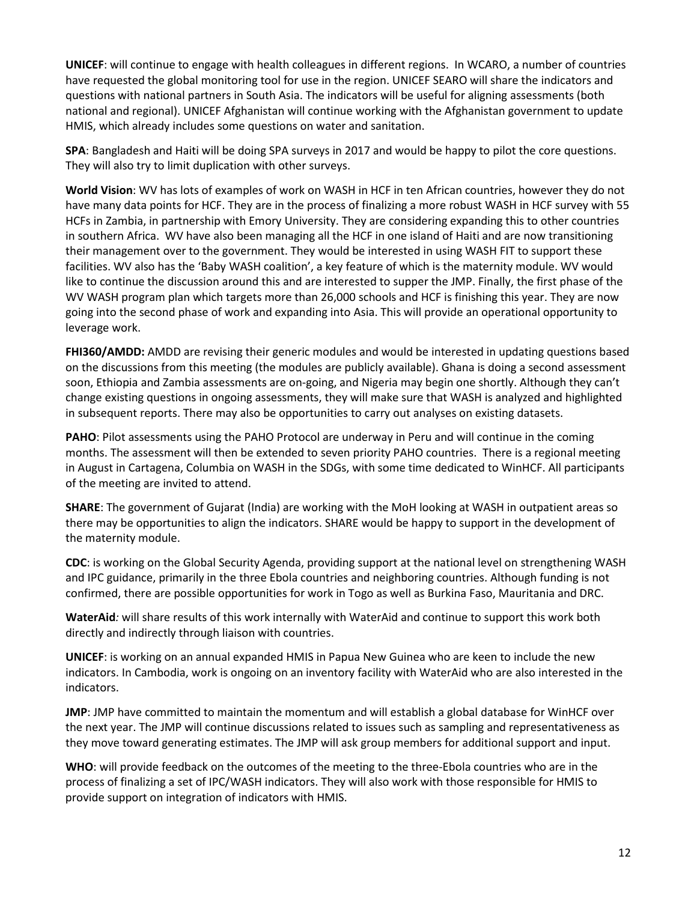**UNICEF**: will continue to engage with health colleagues in different regions. In WCARO, a number of countries have requested the global monitoring tool for use in the region. UNICEF SEARO will share the indicators and questions with national partners in South Asia. The indicators will be useful for aligning assessments (both national and regional). UNICEF Afghanistan will continue working with the Afghanistan government to update HMIS, which already includes some questions on water and sanitation.

**SPA**: Bangladesh and Haiti will be doing SPA surveys in 2017 and would be happy to pilot the core questions. They will also try to limit duplication with other surveys.

**World Vision**: WV has lots of examples of work on WASH in HCF in ten African countries, however they do not have many data points for HCF. They are in the process of finalizing a more robust WASH in HCF survey with 55 HCFs in Zambia, in partnership with Emory University. They are considering expanding this to other countries in southern Africa. WV have also been managing all the HCF in one island of Haiti and are now transitioning their management over to the government. They would be interested in using WASH FIT to support these facilities. WV also has the 'Baby WASH coalition', a key feature of which is the maternity module. WV would like to continue the discussion around this and are interested to supper the JMP. Finally, the first phase of the WV WASH program plan which targets more than 26,000 schools and HCF is finishing this year. They are now going into the second phase of work and expanding into Asia. This will provide an operational opportunity to leverage work.

**FHI360/AMDD:** AMDD are revising their generic modules and would be interested in updating questions based on the discussions from this meeting (the modules are publicly available). Ghana is doing a second assessment soon, Ethiopia and Zambia assessments are on-going, and Nigeria may begin one shortly. Although they can't change existing questions in ongoing assessments, they will make sure that WASH is analyzed and highlighted in subsequent reports. There may also be opportunities to carry out analyses on existing datasets.

**PAHO**: Pilot assessments using the PAHO Protocol are underway in Peru and will continue in the coming months. The assessment will then be extended to seven priority PAHO countries. There is a regional meeting in August in Cartagena, Columbia on WASH in the SDGs, with some time dedicated to WinHCF. All participants of the meeting are invited to attend.

**SHARE**: The government of Gujarat (India) are working with the MoH looking at WASH in outpatient areas so there may be opportunities to align the indicators. SHARE would be happy to support in the development of the maternity module.

**CDC**: is working on the Global Security Agenda, providing support at the national level on strengthening WASH and IPC guidance, primarily in the three Ebola countries and neighboring countries. Although funding is not confirmed, there are possible opportunities for work in Togo as well as Burkina Faso, Mauritania and DRC.

**WaterAid***:* will share results of this work internally with WaterAid and continue to support this work both directly and indirectly through liaison with countries.

**UNICEF**: is working on an annual expanded HMIS in Papua New Guinea who are keen to include the new indicators. In Cambodia, work is ongoing on an inventory facility with WaterAid who are also interested in the indicators.

**JMP**: JMP have committed to maintain the momentum and will establish a global database for WinHCF over the next year. The JMP will continue discussions related to issues such as sampling and representativeness as they move toward generating estimates. The JMP will ask group members for additional support and input.

**WHO**: will provide feedback on the outcomes of the meeting to the three-Ebola countries who are in the process of finalizing a set of IPC/WASH indicators. They will also work with those responsible for HMIS to provide support on integration of indicators with HMIS.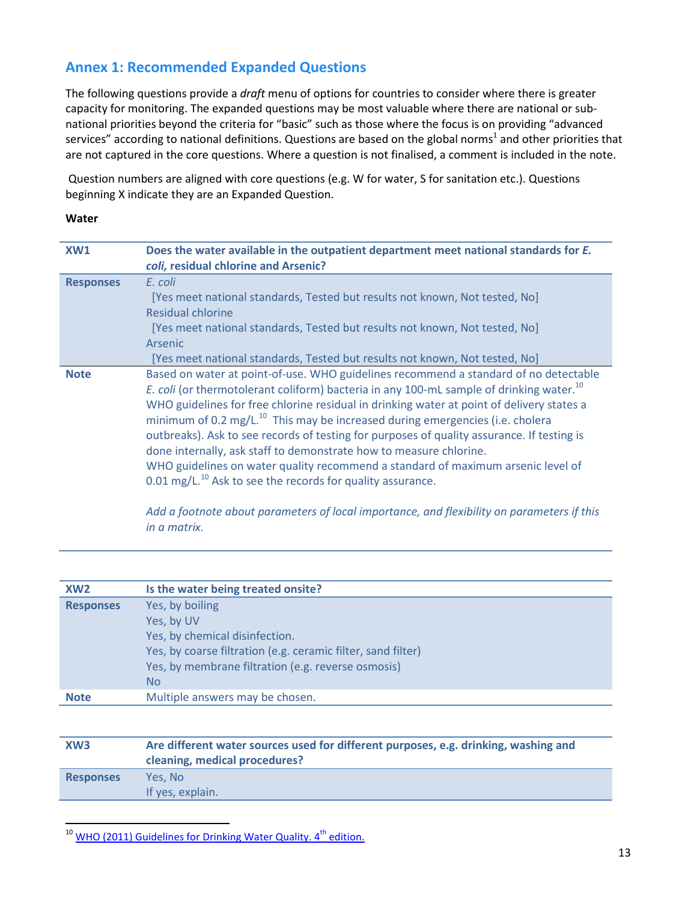# **Annex 1: Recommended Expanded Questions**

The following questions provide a *draft* menu of options for countries to consider where there is greater capacity for monitoring. The expanded questions may be most valuable where there are national or subnational priorities beyond the criteria for "basic" such as those where the focus is on providing "advanced [s](#page-1-4)ervices" according to national definitions. Questions are based on the global norms<sup>1</sup> and other priorities that are not captured in the core questions. Where a question is not finalised, a comment is included in the note.

Question numbers are aligned with core questions (e.g. W for water, S for sanitation etc.). Questions beginning X indicate they are an Expanded Question.

#### **Water**

| XW <sub>1</sub>  | Does the water available in the outpatient department meet national standards for E.<br>coli, residual chlorine and Arsenic?                                                                                                                                                                                                                                                                                                                                                                                                                                                                                                                                                                                        |
|------------------|---------------------------------------------------------------------------------------------------------------------------------------------------------------------------------------------------------------------------------------------------------------------------------------------------------------------------------------------------------------------------------------------------------------------------------------------------------------------------------------------------------------------------------------------------------------------------------------------------------------------------------------------------------------------------------------------------------------------|
| <b>Responses</b> | E. coli<br>[Yes meet national standards, Tested but results not known, Not tested, No]<br>Residual chlorine<br>[Yes meet national standards, Tested but results not known, Not tested, No]<br>Arsenic<br>[Yes meet national standards, Tested but results not known, Not tested, No]                                                                                                                                                                                                                                                                                                                                                                                                                                |
| <b>Note</b>      | Based on water at point-of-use. WHO guidelines recommend a standard of no detectable<br>E. coli (or thermotolerant coliform) bacteria in any 100-mL sample of drinking water. <sup>10</sup><br>WHO guidelines for free chlorine residual in drinking water at point of delivery states a<br>minimum of 0.2 mg/L. $^{10}$ This may be increased during emergencies (i.e. cholera<br>outbreaks). Ask to see records of testing for purposes of quality assurance. If testing is<br>done internally, ask staff to demonstrate how to measure chlorine.<br>WHO guidelines on water quality recommend a standard of maximum arsenic level of<br>$0.01$ mg/L. <sup>10</sup> Ask to see the records for quality assurance. |

<span id="page-12-0"></span>*Add a footnote about parameters of local importance, and flexibility on parameters if this in a matrix.*

| XW <sub>2</sub>  | Is the water being treated onsite?                           |
|------------------|--------------------------------------------------------------|
| <b>Responses</b> | Yes, by boiling                                              |
|                  | Yes, by UV                                                   |
|                  | Yes, by chemical disinfection.                               |
|                  | Yes, by coarse filtration (e.g. ceramic filter, sand filter) |
|                  | Yes, by membrane filtration (e.g. reverse osmosis)           |
|                  | N <sub>o</sub>                                               |
| <b>Note</b>      | Multiple answers may be chosen.                              |
|                  |                                                              |

| XW <sub>3</sub>  | Are different water sources used for different purposes, e.g. drinking, washing and<br>cleaning, medical procedures? |  |
|------------------|----------------------------------------------------------------------------------------------------------------------|--|
| <b>Responses</b> | Yes. No<br>If yes, explain.                                                                                          |  |

<span id="page-12-1"></span><sup>&</sup>lt;sup>10</sup> WHO (2011) Guidelines for Drinking Water Quality. 4<sup>th</sup> edition.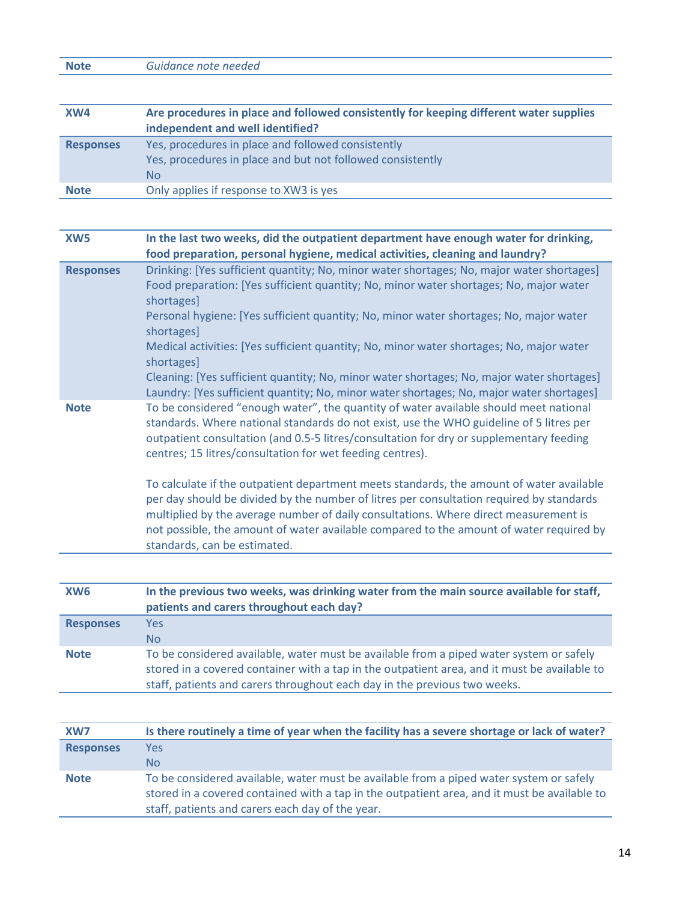**Note** *Guidance note needed*

| XW4              | Are procedures in place and followed consistently for keeping different water supplies<br>independent and well identified?         |
|------------------|------------------------------------------------------------------------------------------------------------------------------------|
| <b>Responses</b> | Yes, procedures in place and followed consistently<br>Yes, procedures in place and but not followed consistently<br>N <sub>o</sub> |
| <b>Note</b>      | Only applies if response to XW3 is yes                                                                                             |

| XW <sub>5</sub>  | In the last two weeks, did the outpatient department have enough water for drinking,<br>food preparation, personal hygiene, medical activities, cleaning and laundry?                                                                                                                                                                                                                                   |
|------------------|---------------------------------------------------------------------------------------------------------------------------------------------------------------------------------------------------------------------------------------------------------------------------------------------------------------------------------------------------------------------------------------------------------|
| <b>Responses</b> | Drinking: [Yes sufficient quantity; No, minor water shortages; No, major water shortages]<br>Food preparation: [Yes sufficient quantity; No, minor water shortages; No, major water<br>shortages]                                                                                                                                                                                                       |
|                  | Personal hygiene: [Yes sufficient quantity; No, minor water shortages; No, major water<br>shortages]                                                                                                                                                                                                                                                                                                    |
|                  | Medical activities: [Yes sufficient quantity; No, minor water shortages; No, major water<br>shortages]                                                                                                                                                                                                                                                                                                  |
|                  | Cleaning: [Yes sufficient quantity; No, minor water shortages; No, major water shortages]<br>Laundry: [Yes sufficient quantity; No, minor water shortages; No, major water shortages]                                                                                                                                                                                                                   |
| <b>Note</b>      | To be considered "enough water", the quantity of water available should meet national<br>standards. Where national standards do not exist, use the WHO guideline of 5 litres per<br>outpatient consultation (and 0.5-5 litres/consultation for dry or supplementary feeding<br>centres; 15 litres/consultation for wet feeding centres).                                                                |
|                  | To calculate if the outpatient department meets standards, the amount of water available<br>per day should be divided by the number of litres per consultation required by standards<br>multiplied by the average number of daily consultations. Where direct measurement is<br>not possible, the amount of water available compared to the amount of water required by<br>standards, can be estimated. |

| XW <sub>6</sub>  | In the previous two weeks, was drinking water from the main source available for staff,<br>patients and carers throughout each day?                                                                                                                                  |
|------------------|----------------------------------------------------------------------------------------------------------------------------------------------------------------------------------------------------------------------------------------------------------------------|
| <b>Responses</b> | <b>Yes</b><br>N <sub>o</sub>                                                                                                                                                                                                                                         |
| <b>Note</b>      | To be considered available, water must be available from a piped water system or safely<br>stored in a covered container with a tap in the outpatient area, and it must be available to<br>staff, patients and carers throughout each day in the previous two weeks. |

| XW7              | Is there routinely a time of year when the facility has a severe shortage or lack of water?                                                                                                                                                 |
|------------------|---------------------------------------------------------------------------------------------------------------------------------------------------------------------------------------------------------------------------------------------|
| <b>Responses</b> | Yes                                                                                                                                                                                                                                         |
|                  | No.                                                                                                                                                                                                                                         |
| <b>Note</b>      | To be considered available, water must be available from a piped water system or safely<br>stored in a covered contained with a tap in the outpatient area, and it must be available to<br>staff, patients and carers each day of the year. |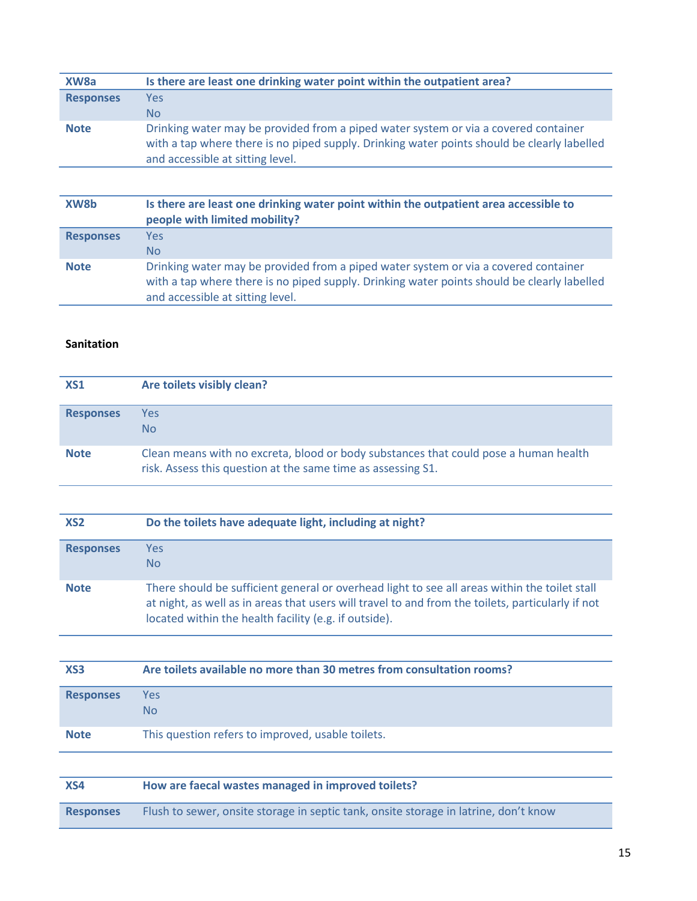| XW <sub>8</sub> a | Is there are least one drinking water point within the outpatient area?                                                                                                                                                |
|-------------------|------------------------------------------------------------------------------------------------------------------------------------------------------------------------------------------------------------------------|
| <b>Responses</b>  | Yes                                                                                                                                                                                                                    |
|                   | No.                                                                                                                                                                                                                    |
| <b>Note</b>       | Drinking water may be provided from a piped water system or via a covered container<br>with a tap where there is no piped supply. Drinking water points should be clearly labelled<br>and accessible at sitting level. |

| XW8b             | Is there are least one drinking water point within the outpatient area accessible to<br>people with limited mobility?                                                                                                  |
|------------------|------------------------------------------------------------------------------------------------------------------------------------------------------------------------------------------------------------------------|
| <b>Responses</b> | <b>Yes</b><br>N <sub>o</sub>                                                                                                                                                                                           |
| <b>Note</b>      | Drinking water may be provided from a piped water system or via a covered container<br>with a tap where there is no piped supply. Drinking water points should be clearly labelled<br>and accessible at sitting level. |

# **Sanitation**

| <b>XS1</b>       | Are toilets visibly clean?                                                                                                                           |
|------------------|------------------------------------------------------------------------------------------------------------------------------------------------------|
| <b>Responses</b> | Yes<br>No.                                                                                                                                           |
| <b>Note</b>      | Clean means with no excreta, blood or body substances that could pose a human health<br>risk. Assess this question at the same time as assessing S1. |

| XS <sub>2</sub>  | Do the toilets have adequate light, including at night?                                                                                                                                                                                                     |
|------------------|-------------------------------------------------------------------------------------------------------------------------------------------------------------------------------------------------------------------------------------------------------------|
| <b>Responses</b> | <b>Yes</b><br>N <sub>o</sub>                                                                                                                                                                                                                                |
| <b>Note</b>      | There should be sufficient general or overhead light to see all areas within the toilet stall<br>at night, as well as in areas that users will travel to and from the toilets, particularly if not<br>located within the health facility (e.g. if outside). |

| XS <sub>3</sub>  | Are toilets available no more than 30 metres from consultation rooms? |
|------------------|-----------------------------------------------------------------------|
| <b>Responses</b> | Yes<br>No.                                                            |
| <b>Note</b>      | This question refers to improved, usable toilets.                     |

| XS4              | How are faecal wastes managed in improved toilets?                                   |
|------------------|--------------------------------------------------------------------------------------|
| <b>Responses</b> | Flush to sewer, onsite storage in septic tank, onsite storage in latrine, don't know |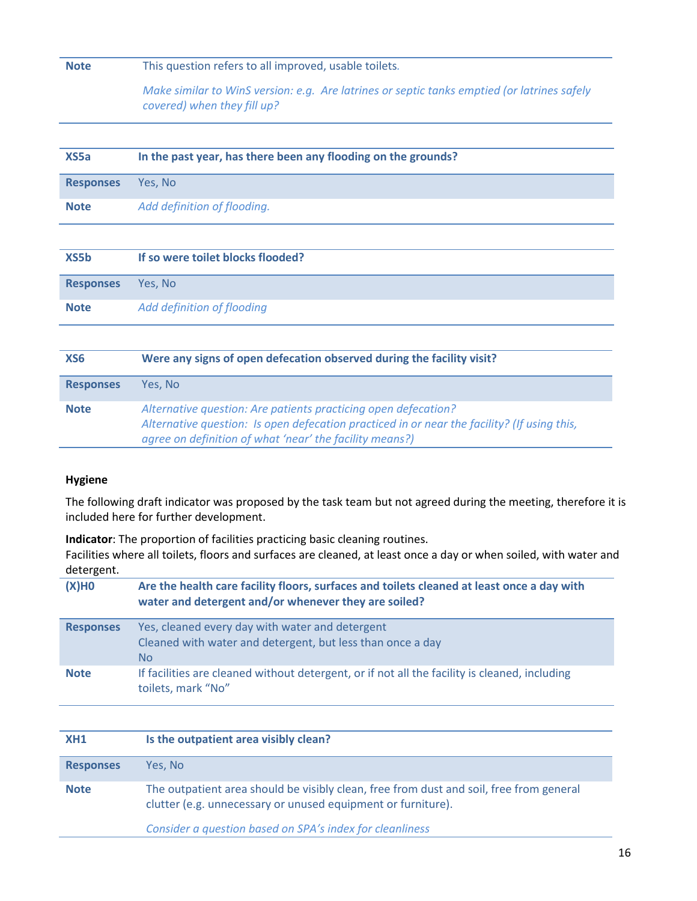# **Note** This question refers to all improved, usable toilets*.*

*Make similar to WinS version: e.g. Are latrines or septic tanks emptied (or latrines safely covered) when they fill up?*

| XS <sub>5a</sub> | In the past year, has there been any flooding on the grounds? |
|------------------|---------------------------------------------------------------|
| <b>Responses</b> | Yes, No                                                       |
| <b>Note</b>      | Add definition of flooding.                                   |
|                  |                                                               |
| XS5b             | If so were toilet blocks flooded?                             |
| <b>Responses</b> | Yes, No                                                       |
| <b>Note</b>      | Add definition of flooding                                    |

| XS6              | Were any signs of open defecation observed during the facility visit?                                                                                                                                                    |
|------------------|--------------------------------------------------------------------------------------------------------------------------------------------------------------------------------------------------------------------------|
| <b>Responses</b> | Yes. No                                                                                                                                                                                                                  |
| <b>Note</b>      | Alternative question: Are patients practicing open defecation?<br>Alternative question: Is open defecation practiced in or near the facility? (If using this,<br>agree on definition of what 'near' the facility means?) |

#### **Hygiene**

The following draft indicator was proposed by the task team but not agreed during the meeting, therefore it is included here for further development.

**Indicator**: The proportion of facilities practicing basic cleaning routines. Facilities where all toilets, floors and surfaces are cleaned, at least once a day or when soiled, with water and detergent.

| Are the health care facility floors, surfaces and toilets cleaned at least once a day with<br>water and detergent and/or whenever they are soiled? |
|----------------------------------------------------------------------------------------------------------------------------------------------------|
| Yes, cleaned every day with water and detergent<br>Cleaned with water and detergent, but less than once a day<br>N <sub>o</sub>                    |
| If facilities are cleaned without detergent, or if not all the facility is cleaned, including<br>toilets, mark "No"                                |
|                                                                                                                                                    |

| XH1              | Is the outpatient area visibly clean?                                                                                                                   |
|------------------|---------------------------------------------------------------------------------------------------------------------------------------------------------|
| <b>Responses</b> | Yes. No                                                                                                                                                 |
| <b>Note</b>      | The outpatient area should be visibly clean, free from dust and soil, free from general<br>clutter (e.g. unnecessary or unused equipment or furniture). |
|                  | Consider a question based on SPA's index for cleanliness                                                                                                |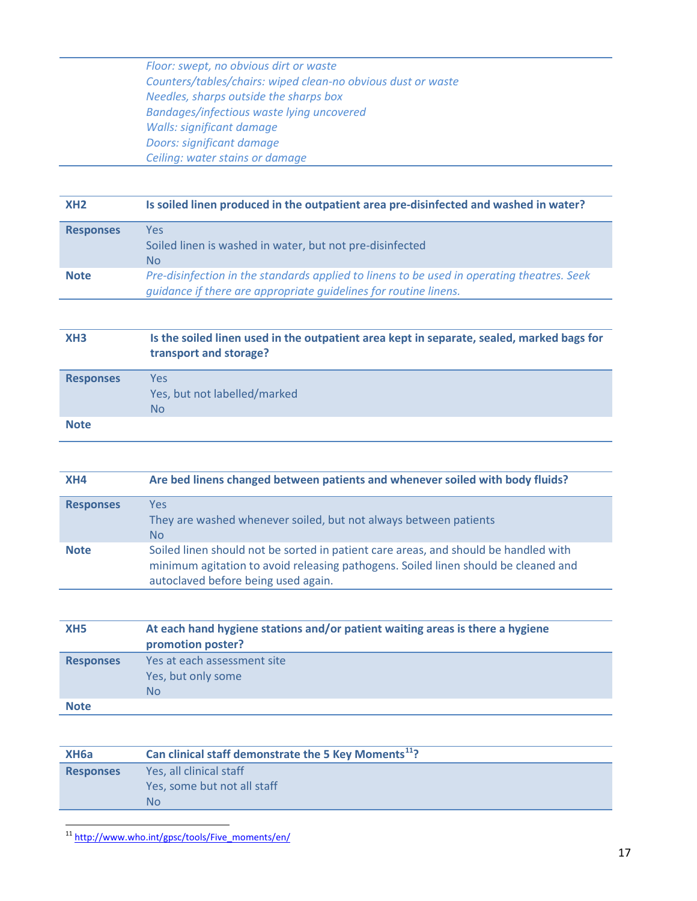*Floor: swept, no obvious dirt or waste Counters/tables/chairs: wiped clean-no obvious dust or waste Needles, sharps outside the sharps box Bandages/infectious waste lying uncovered Walls: significant damage Doors: significant damage Ceiling: water stains or damage*

# **XH2 Is soiled linen produced in the outpatient area pre-disinfected and washed in water?**

| <b>Responses</b> | Yes.<br>Soiled linen is washed in water, but not pre-disinfected<br>No.                                                                                        |
|------------------|----------------------------------------------------------------------------------------------------------------------------------------------------------------|
| <b>Note</b>      | Pre-disinfection in the standards applied to linens to be used in operating theatres. Seek<br>guidance if there are appropriate guidelines for routine linens. |

## **XH3 Is the soiled linen used in the outpatient area kept in separate, sealed, marked bags for transport and storage?**

| <b>Responses</b> | Yes<br>Yes, but not labelled/marked<br><b>No</b> |
|------------------|--------------------------------------------------|
| <b>Note</b>      |                                                  |

| XH4              | Are bed linens changed between patients and whenever soiled with body fluids?                                                                                                                                    |
|------------------|------------------------------------------------------------------------------------------------------------------------------------------------------------------------------------------------------------------|
| <b>Responses</b> | Yes:<br>They are washed whenever soiled, but not always between patients<br><b>No</b>                                                                                                                            |
| <b>Note</b>      | Soiled linen should not be sorted in patient care areas, and should be handled with<br>minimum agitation to avoid releasing pathogens. Soiled linen should be cleaned and<br>autoclaved before being used again. |

| XH <sub>5</sub>  | At each hand hygiene stations and/or patient waiting areas is there a hygiene<br>promotion poster? |
|------------------|----------------------------------------------------------------------------------------------------|
| <b>Responses</b> | Yes at each assessment site<br>Yes, but only some<br>N <sub>o</sub>                                |
| <b>Note</b>      |                                                                                                    |

| XH <sub>6a</sub> | Can clinical staff demonstrate the 5 Key Moments <sup>11</sup> ? |
|------------------|------------------------------------------------------------------|
| <b>Responses</b> | Yes, all clinical staff                                          |
|                  | Yes, some but not all staff                                      |
|                  | Nο                                                               |

<span id="page-16-0"></span><sup>11</sup> [http://www.who.int/gpsc/tools/Five\\_moments/en/](http://www.who.int/gpsc/tools/Five_moments/en/)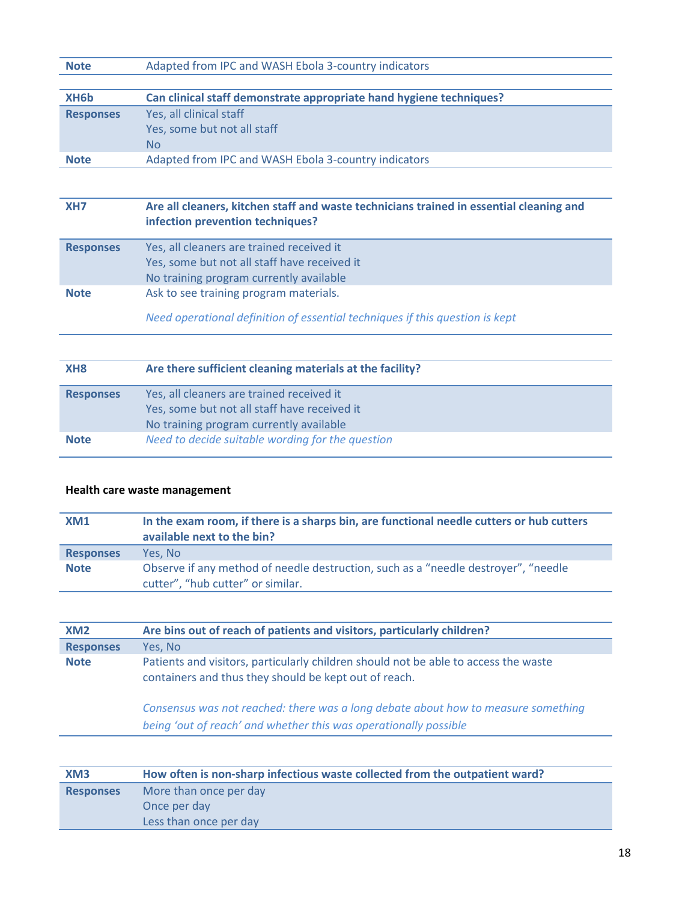| Note | Adapted from IPC and WASH Ebola 3-country indicators |  |
|------|------------------------------------------------------|--|
|------|------------------------------------------------------|--|

| XH <sub>6</sub> b | Can clinical staff demonstrate appropriate hand hygiene techniques? |
|-------------------|---------------------------------------------------------------------|
| <b>Responses</b>  | Yes, all clinical staff                                             |
|                   | Yes, some but not all staff                                         |
|                   | No.                                                                 |
| <b>Note</b>       | Adapted from IPC and WASH Ebola 3-country indicators                |

# **XH7 Are all cleaners, kitchen staff and waste technicians trained in essential cleaning and infection prevention techniques?**

| <b>Responses</b> | Yes, all cleaners are trained received it<br>Yes, some but not all staff have received it<br>No training program currently available |
|------------------|--------------------------------------------------------------------------------------------------------------------------------------|
| <b>Note</b>      | Ask to see training program materials.                                                                                               |

*Need operational definition of essential techniques if this question is kept* 

| XH <sub>8</sub>  | Are there sufficient cleaning materials at the facility?                                                                             |
|------------------|--------------------------------------------------------------------------------------------------------------------------------------|
| <b>Responses</b> | Yes, all cleaners are trained received it<br>Yes, some but not all staff have received it<br>No training program currently available |
| <b>Note</b>      | Need to decide suitable wording for the question                                                                                     |

# **Health care waste management**

| XM1              | In the exam room, if there is a sharps bin, are functional needle cutters or hub cutters<br>available next to the bin?  |
|------------------|-------------------------------------------------------------------------------------------------------------------------|
| <b>Responses</b> | Yes. No                                                                                                                 |
| <b>Note</b>      | Observe if any method of needle destruction, such as a "needle destroyer", "needle<br>cutter", "hub cutter" or similar. |

| XM <sub>2</sub>  | Are bins out of reach of patients and visitors, particularly children?                                                                                                                                                                                                                                |  |
|------------------|-------------------------------------------------------------------------------------------------------------------------------------------------------------------------------------------------------------------------------------------------------------------------------------------------------|--|
| <b>Responses</b> | Yes, No                                                                                                                                                                                                                                                                                               |  |
| <b>Note</b>      | Patients and visitors, particularly children should not be able to access the waste<br>containers and thus they should be kept out of reach.<br>Consensus was not reached: there was a long debate about how to measure something<br>being 'out of reach' and whether this was operationally possible |  |
|                  |                                                                                                                                                                                                                                                                                                       |  |

| XM <sub>3</sub>  | How often is non-sharp infectious waste collected from the outpatient ward? |  |
|------------------|-----------------------------------------------------------------------------|--|
| <b>Responses</b> | More than once per day                                                      |  |
|                  | Once per day                                                                |  |
|                  | Less than once per day                                                      |  |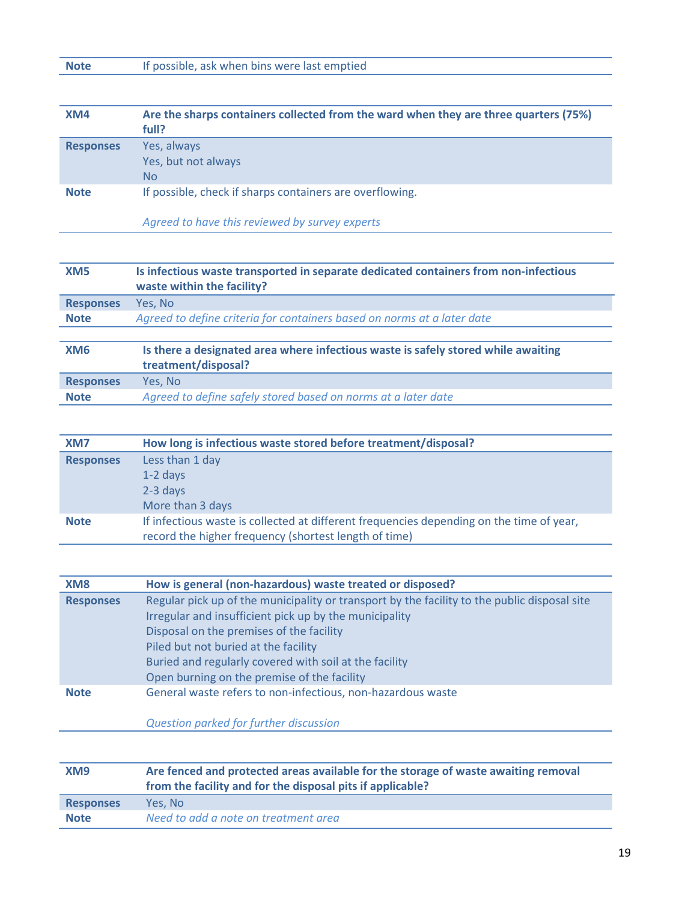# **Note** If possible, ask when bins were last emptied

| XM4              | Are the sharps containers collected from the ward when they are three quarters (75%)<br>full? |
|------------------|-----------------------------------------------------------------------------------------------|
| <b>Responses</b> | Yes, always<br>Yes, but not always<br>No.                                                     |
| <b>Note</b>      | If possible, check if sharps containers are overflowing.                                      |

*Agreed to have this reviewed by survey experts*

| XM <sub>5</sub>  | Is infectious waste transported in separate dedicated containers from non-infectious<br>waste within the facility? |
|------------------|--------------------------------------------------------------------------------------------------------------------|
|                  |                                                                                                                    |
| <b>Responses</b> | Yes, No                                                                                                            |
| <b>Note</b>      | Agreed to define criteria for containers based on norms at a later date                                            |
|                  |                                                                                                                    |
| XM <sub>6</sub>  | Is there a designated area where infectious waste is safely stored while awaiting<br>treatment/disposal?           |
| <b>Responses</b> | Yes. No                                                                                                            |
| <b>Note</b>      | Agreed to define safely stored based on norms at a later date                                                      |

| XM <sub>7</sub>  | How long is infectious waste stored before treatment/disposal?                           |  |
|------------------|------------------------------------------------------------------------------------------|--|
| <b>Responses</b> | Less than 1 day                                                                          |  |
|                  | $1-2$ days                                                                               |  |
|                  | $2-3$ days                                                                               |  |
|                  | More than 3 days                                                                         |  |
| <b>Note</b>      | If infectious waste is collected at different frequencies depending on the time of year, |  |
|                  | record the higher frequency (shortest length of time)                                    |  |

| XM <sub>8</sub>  | How is general (non-hazardous) waste treated or disposed?                                    |  |
|------------------|----------------------------------------------------------------------------------------------|--|
| <b>Responses</b> | Regular pick up of the municipality or transport by the facility to the public disposal site |  |
|                  | Irregular and insufficient pick up by the municipality                                       |  |
|                  | Disposal on the premises of the facility                                                     |  |
|                  | Piled but not buried at the facility                                                         |  |
|                  | Buried and regularly covered with soil at the facility                                       |  |
|                  | Open burning on the premise of the facility                                                  |  |
| <b>Note</b>      | General waste refers to non-infectious, non-hazardous waste                                  |  |
|                  |                                                                                              |  |
|                  | Question parked for further discussion                                                       |  |

| XM9              | Are fenced and protected areas available for the storage of waste awaiting removal<br>from the facility and for the disposal pits if applicable? |  |
|------------------|--------------------------------------------------------------------------------------------------------------------------------------------------|--|
| <b>Responses</b> | Yes. No                                                                                                                                          |  |
| <b>Note</b>      | Need to add a note on treatment area                                                                                                             |  |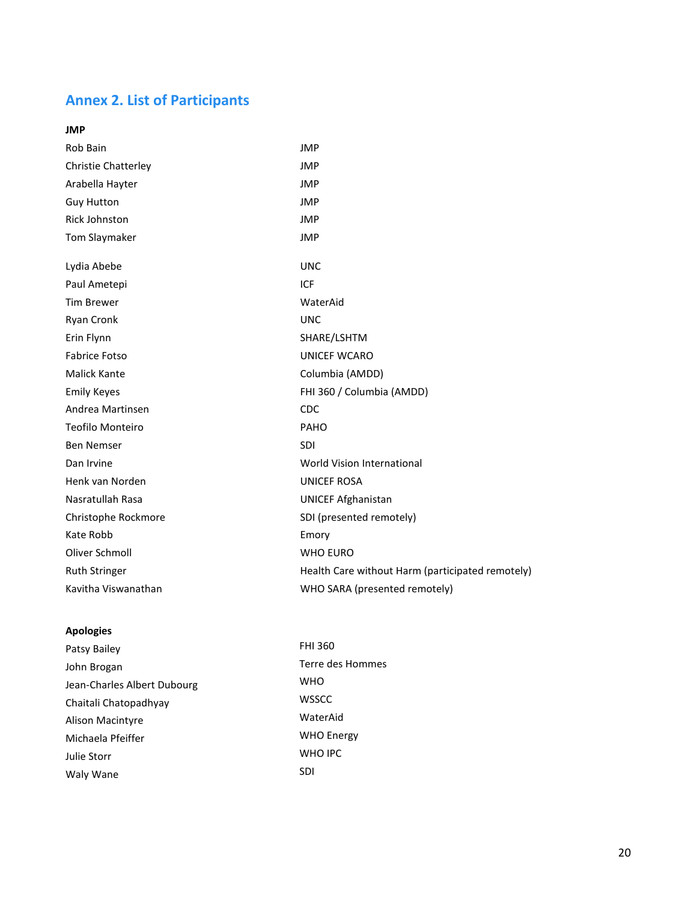# **Annex 2. List of Participants**

| Rob Bain                   | <b>JMP</b>                                       |
|----------------------------|--------------------------------------------------|
| <b>Christie Chatterley</b> | <b>JMP</b>                                       |
| Arabella Hayter            | <b>JMP</b>                                       |
| <b>Guy Hutton</b>          | <b>JMP</b>                                       |
| <b>Rick Johnston</b>       | <b>JMP</b>                                       |
| Tom Slaymaker              | <b>JMP</b>                                       |
| Lydia Abebe                | <b>UNC</b>                                       |
| Paul Ametepi               | ICF                                              |
| <b>Tim Brewer</b>          | WaterAid                                         |
| Ryan Cronk                 | <b>UNC</b>                                       |
| Erin Flynn                 | SHARE/LSHTM                                      |
| <b>Fabrice Fotso</b>       | <b>UNICEF WCARO</b>                              |
| <b>Malick Kante</b>        | Columbia (AMDD)                                  |
| <b>Emily Keyes</b>         | FHI 360 / Columbia (AMDD)                        |
| Andrea Martinsen           | <b>CDC</b>                                       |
| Teofilo Monteiro           | PAHO                                             |
| <b>Ben Nemser</b>          | <b>SDI</b>                                       |
| Dan Irvine                 | World Vision International                       |
| Henk van Norden            | <b>UNICEF ROSA</b>                               |
| Nasratullah Rasa           | <b>UNICEF Afghanistan</b>                        |
| Christophe Rockmore        | SDI (presented remotely)                         |
| Kate Robb                  | Emory                                            |
| Oliver Schmoll             | <b>WHO EURO</b>                                  |
| <b>Ruth Stringer</b>       | Health Care without Harm (participated remotely) |
| Kavitha Viswanathan        | WHO SARA (presented remotely)                    |
|                            |                                                  |

## **Apologies**

| Patsy Bailey                | FHI 360       |
|-----------------------------|---------------|
| John Brogan                 | Terre de      |
| Jean-Charles Albert Dubourg | WHO           |
| Chaitali Chatopadhyay       | <b>WSSCC</b>  |
| Alison Macintyre            | WaterAi       |
| Michaela Pfeiffer           | WHO En        |
| Julie Storr                 | <b>WHO IP</b> |
| Waly Wane                   | SDI           |
|                             |               |

Terre des Hommes<br>WHO WaterAid WHO Energy WHO IPC<br>SDI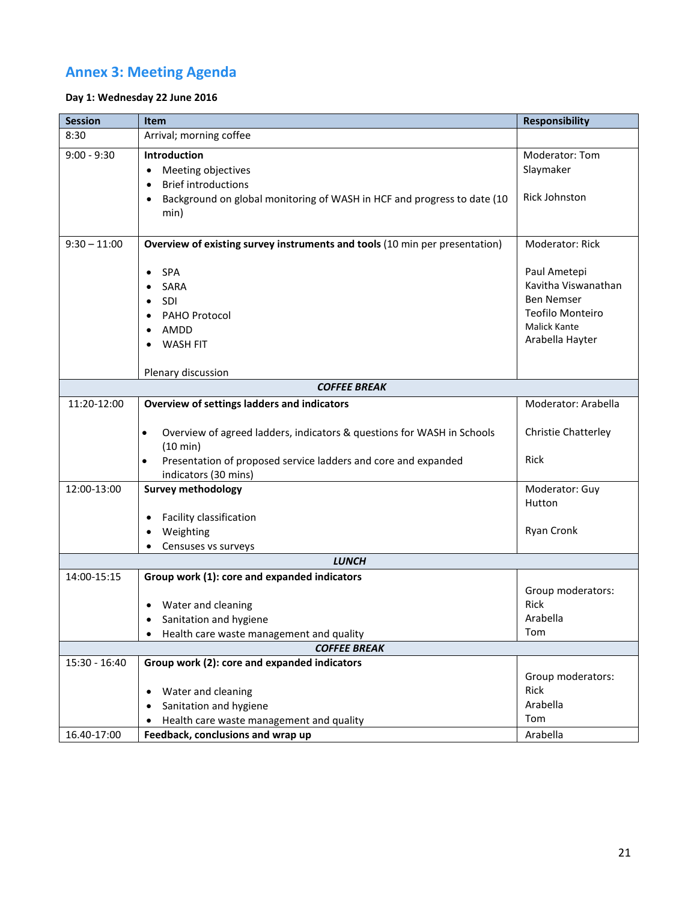# **Annex 3: Meeting Agenda**

## **Day 1: Wednesday 22 June 2016**

| <b>Session</b>      | <b>Item</b>                                                                          | <b>Responsibility</b>                    |
|---------------------|--------------------------------------------------------------------------------------|------------------------------------------|
| 8:30                | Arrival; morning coffee                                                              |                                          |
| $9:00 - 9:30$       | <b>Introduction</b>                                                                  | Moderator: Tom                           |
|                     | Meeting objectives<br>$\bullet$                                                      | Slaymaker                                |
|                     | <b>Brief introductions</b><br>$\bullet$                                              |                                          |
|                     | Background on global monitoring of WASH in HCF and progress to date (10<br>$\bullet$ | <b>Rick Johnston</b>                     |
|                     | min)                                                                                 |                                          |
|                     |                                                                                      |                                          |
| $9:30 - 11:00$      | Overview of existing survey instruments and tools (10 min per presentation)          | Moderator: Rick                          |
|                     |                                                                                      |                                          |
|                     | <b>SPA</b><br>$\bullet$                                                              | Paul Ametepi                             |
|                     | <b>SARA</b>                                                                          | Kavitha Viswanathan<br><b>Ben Nemser</b> |
|                     | <b>SDI</b><br>$\bullet$                                                              | Teofilo Monteiro                         |
|                     | PAHO Protocol<br>$\bullet$                                                           | <b>Malick Kante</b>                      |
|                     | AMDD<br>$\bullet$                                                                    | Arabella Hayter                          |
|                     | <b>WASH FIT</b>                                                                      |                                          |
|                     | Plenary discussion                                                                   |                                          |
| <b>COFFEE BREAK</b> |                                                                                      |                                          |
| 11:20-12:00         | <b>Overview of settings ladders and indicators</b>                                   | Moderator: Arabella                      |
|                     |                                                                                      |                                          |
|                     | Overview of agreed ladders, indicators & questions for WASH in Schools<br>$\bullet$  | <b>Christie Chatterley</b>               |
|                     | (10 min)                                                                             |                                          |
|                     | Presentation of proposed service ladders and core and expanded<br>$\bullet$          | <b>Rick</b>                              |
|                     | indicators (30 mins)                                                                 |                                          |
| 12:00-13:00         | <b>Survey methodology</b>                                                            | Moderator: Guy                           |
|                     |                                                                                      | Hutton                                   |
|                     | Facility classification<br>$\bullet$                                                 |                                          |
|                     | Weighting<br>$\bullet$                                                               | Ryan Cronk                               |
|                     | Censuses vs surveys<br><b>LUNCH</b>                                                  |                                          |
|                     |                                                                                      |                                          |
| 14:00-15:15         | Group work (1): core and expanded indicators                                         |                                          |
|                     | Water and cleaning                                                                   | Group moderators:<br>Rick                |
|                     | Sanitation and hygiene                                                               | Arabella                                 |
|                     |                                                                                      | Tom                                      |
|                     | Health care waste management and quality<br>$\bullet$<br><b>COFFEE BREAK</b>         |                                          |
| 15:30 - 16:40       | Group work (2): core and expanded indicators                                         |                                          |
|                     |                                                                                      | Group moderators:                        |
|                     | Water and cleaning<br>٠                                                              | <b>Rick</b>                              |
|                     | Sanitation and hygiene<br>$\bullet$                                                  | Arabella                                 |
|                     | Health care waste management and quality                                             | Tom                                      |
| 16.40-17:00         | Feedback, conclusions and wrap up                                                    | Arabella                                 |
|                     |                                                                                      |                                          |